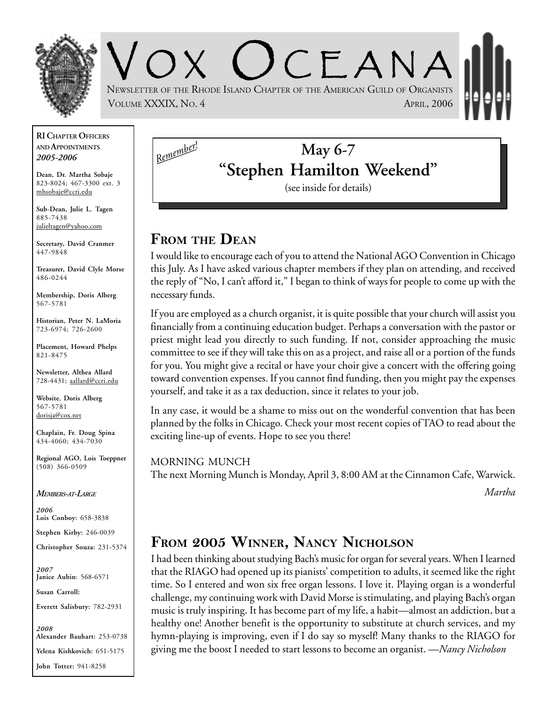

 $C$   $F$   $A$  N  $A$ NEWSLETTER OF THE RHODE ISLAND CHAPTER OF THE AMERICAN GUILD OF ORGANISTS VOLUME XXXIX, NO. 4 APRIL, 2006

**RI CHAPTER OFFICERS AND APPOINTMENTS** *2005-2006*

**Dean, Dr. Martha Sobaje** 823-8024; 467-3300 ext. 3 mhsobaje@ccri.edu

**Sub-Dean, Julie L. Tagen** 885-7438 julieltagen@yahoo.com

**Secretary, David Cranmer** 447-9848

**Treasurer, David Clyle Morse** 486-0244

**Membership, Doris Alberg** 567-5781

**Historian, Peter N. LaMoria** 723-6974; 726-2600

**Placement, Howard Phelps** 821-8475

**Newsletter, Althea Allard** 728-4431; aallard@ccri.edu

**Website**, **Doris Alberg** 567-5781 dorisja@cox.net

**Chaplain, Fr. Doug Spina** 434-4060; 434-7030

**Regional AGO, Lois Toeppner** (508) 366-0509

#### *MEMBERS-AT-LARGE*

*2006* **Lois Conboy:** 658-3838

**Stephen Kirby:** 246-0039

**Christopher Souza:** 231-5374

*2007* **Janice Aubin**: 568-6571

**Susan Carroll:**

**Everett Salisbury:** 782-2931

*2008* **Alexander Bauhart:** 253-0738 **Yelena Kishkovich:** 651-5175 **John Totter:** 941-8258

# **May 6-7 "Stephen Hamilton Weekend"**

(see inside for details)

## **FROM THE DEAN**

*Remember!*

I would like to encourage each of you to attend the National AGO Convention in Chicago this July. As I have asked various chapter members if they plan on attending, and received the reply of "No, I can't afford it," I began to think of ways for people to come up with the necessary funds.

If you are employed as a church organist, it is quite possible that your church will assist you financially from a continuing education budget. Perhaps a conversation with the pastor or priest might lead you directly to such funding. If not, consider approaching the music committee to see if they will take this on as a project, and raise all or a portion of the funds for you. You might give a recital or have your choir give a concert with the offering going toward convention expenses. If you cannot find funding, then you might pay the expenses yourself, and take it as a tax deduction, since it relates to your job.

In any case, it would be a shame to miss out on the wonderful convention that has been planned by the folks in Chicago. Check your most recent copies of TAO to read about the exciting line-up of events. Hope to see you there!

MORNING MUNCH The next Morning Munch is Monday, April 3, 8:00 AM at the Cinnamon Cafe, Warwick.

*Martha*

## **FROM 2005 WINNER, NANCY NICHOLSON**

I had been thinking about studying Bach's music for organ for several years. When I learned that the RIAGO had opened up its pianists' competition to adults, it seemed like the right time. So I entered and won six free organ lessons. I love it. Playing organ is a wonderful challenge, my continuing work with David Morse is stimulating, and playing Bach's organ music is truly inspiring. It has become part of my life, a habit—almost an addiction, but a healthy one! Another benefit is the opportunity to substitute at church services, and my hymn-playing is improving, even if I do say so myself! Many thanks to the RIAGO for giving me the boost I needed to start lessons to become an organist. —*Nancy Nicholson*